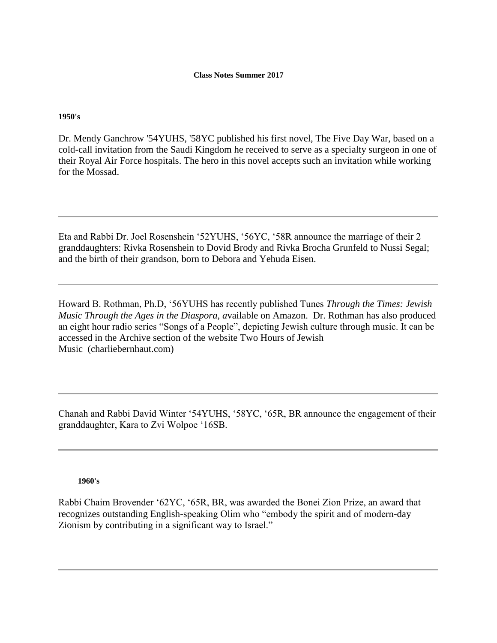**1950's**

Dr. Mendy Ganchrow '54YUHS, '58YC published his first novel, The Five Day War, based on a cold-call invitation from the Saudi Kingdom he received to serve as a specialty surgeon in one of their Royal Air Force hospitals. The hero in this novel accepts such an invitation while working for the Mossad.

Eta and Rabbi Dr. Joel Rosenshein '52YUHS, '56YC, '58R announce the marriage of their 2 granddaughters: Rivka Rosenshein to Dovid Brody and Rivka Brocha Grunfeld to Nussi Segal; and the birth of their grandson, born to Debora and Yehuda Eisen.

Howard B. Rothman, Ph.D, '56YUHS has recently published Tunes *Through the Times: Jewish Music Through the Ages in the Diaspora, a*vailable on Amazon. Dr. Rothman has also produced an eight hour radio series "Songs of a People", depicting Jewish culture through music. It can be accessed in the Archive section of the website Two Hours of Jewish Music (charliebernhaut.com)

Chanah and Rabbi David Winter '54YUHS, '58YC, '65R, BR announce the engagement of their granddaughter, Kara to Zvi Wolpoe '16SB.

**1960's**

Rabbi Chaim Brovender '62YC, '65R, BR, was awarded the Bonei Zion Prize, an award that recognizes outstanding English-speaking Olim who "embody the spirit and of modern-day Zionism by contributing in a significant way to Israel."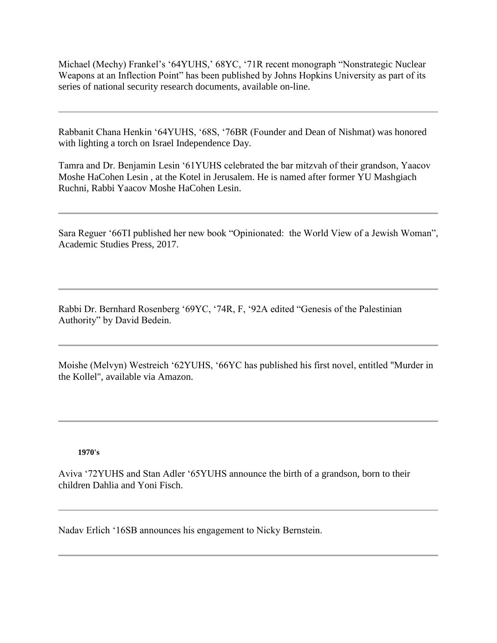Michael (Mechy) Frankel's '64YUHS,' 68YC, '71R recent monograph "Nonstrategic Nuclear Weapons at an Inflection Point" has been published by Johns Hopkins University as part of its series of national security research documents, available on-line.

Rabbanit Chana Henkin '64YUHS, '68S, '76BR (Founder and Dean of Nishmat) was honored with lighting a torch on Israel Independence Day.

Tamra and Dr. Benjamin Lesin '61YUHS celebrated the bar mitzvah of their grandson, Yaacov Moshe HaCohen Lesin , at the Kotel in Jerusalem. He is named after former YU Mashgiach Ruchni, Rabbi Yaacov Moshe HaCohen Lesin.

Sara Reguer '66TI published her new book "Opinionated: the World View of a Jewish Woman", Academic Studies Press, 2017.

Rabbi Dr. Bernhard Rosenberg '69YC, '74R, F, '92A edited "Genesis of the Palestinian Authority" by David Bedein.

Moishe (Melvyn) Westreich '62YUHS, '66YC has published his first novel, entitled "Murder in the Kollel", available via Amazon.

## **1970's**

Aviva '72YUHS and Stan Adler '65YUHS announce the birth of a grandson, born to their children Dahlia and Yoni Fisch.

Nadav Erlich '16SB announces his engagement to Nicky Bernstein.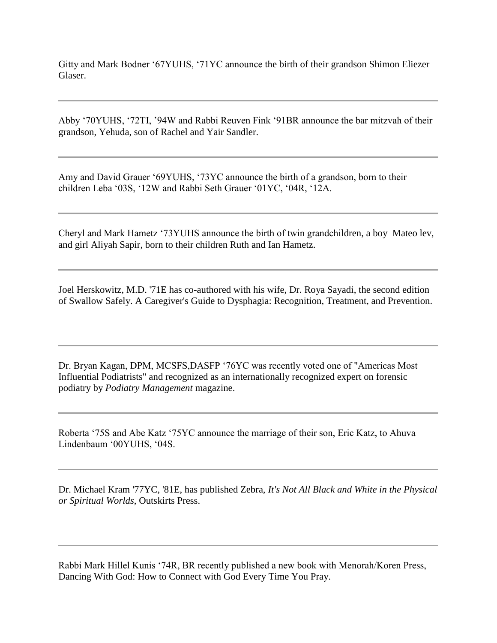Gitty and Mark Bodner '67YUHS, '71YC announce the birth of their grandson Shimon Eliezer Glaser.

Abby '70YUHS, '72TI, '94W and Rabbi Reuven Fink '91BR announce the bar mitzvah of their grandson, Yehuda, son of Rachel and Yair Sandler.

Amy and David Grauer '69YUHS, '73YC announce the birth of a grandson, born to their children Leba '03S, '12W and Rabbi Seth Grauer '01YC, '04R, '12A.

Cheryl and Mark Hametz '73YUHS announce the birth of twin grandchildren, a boy Mateo lev, and girl Aliyah Sapir, born to their children Ruth and Ian Hametz.

Joel Herskowitz, M.D. '71E has co-authored with his wife, Dr. Roya Sayadi, the second edition of Swallow Safely. A Caregiver's Guide to Dysphagia: Recognition, Treatment, and Prevention.

Dr. Bryan Kagan, DPM, MCSFS,DASFP '76YC was recently voted one of "Americas Most Influential Podiatrists" and recognized as an internationally recognized expert on forensic podiatry by *Podiatry Management* magazine.

Roberta '75S and Abe Katz '75YC announce the marriage of their son, Eric Katz, to Ahuva Lindenbaum '00YUHS, '04S.

Dr. Michael Kram '77YC, '81E, has published Zebra, *It's Not All Black and White in the Physical or Spiritual Worlds*, Outskirts Press.

Rabbi Mark Hillel Kunis '74R, BR recently published a new book with Menorah/Koren Press, Dancing With God: How to Connect with God Every Time You Pray.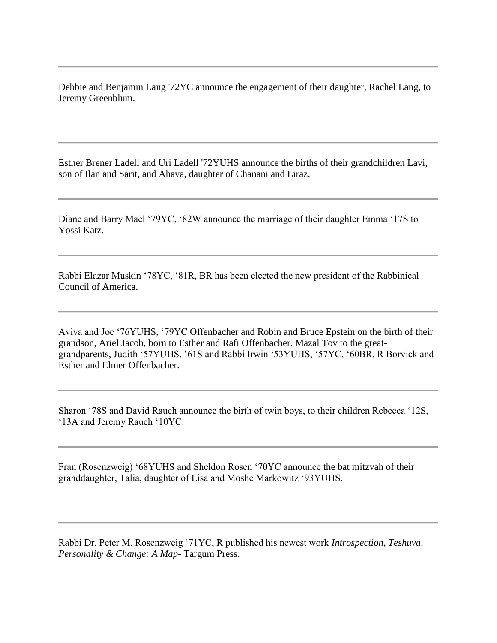Debbie and Benjamin Lang '72YC announce the engagement of their daughter, Rachel Lang, to Jeremy Greenblum.

Esther Brener Ladell and Uri Ladell '72YUHS announce the births of their grandchildren Lavi, son of Ilan and Sarit, and Ahava, daughter of Chanani and Liraz.

Diane and Barry Mael '79YC, '82W announce the marriage of their daughter Emma '17S to Yossi Katz.

Rabbi Elazar Muskin '78YC, '81R, BR has been elected the new president of the Rabbinical Council of America.

Aviva and Joe '76YUHS, '79YC Offenbacher and Robin and Bruce Epstein on the birth of their grandson, Ariel Jacob, born to Esther and Rafi Offenbacher. Mazal Tov to the greatgrandparents, Judith '57YUHS, '61S and Rabbi Irwin '53YUHS, '57YC, '60BR, R Borvick and Esther and Elmer Offenbacher.

Sharon '78S and David Rauch announce the birth of twin boys, to their children Rebecca '12S, '13A and Jeremy Rauch '10YC.

Fran (Rosenzweig) '68YUHS and Sheldon Rosen '70YC announce the bat mitzvah of their granddaughter, Talia, daughter of Lisa and Moshe Markowitz '93YUHS.

Rabbi Dr. Peter M. Rosenzweig '71YC, R published his newest work *Introspection, Teshuva, Personality & Change: A Map*- Targum Press.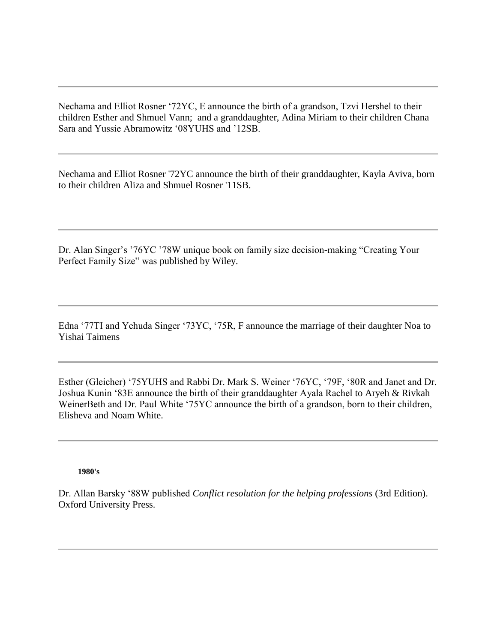Nechama and Elliot Rosner '72YC, E announce the birth of a grandson, Tzvi Hershel to their children Esther and Shmuel Vann; and a granddaughter, Adina Miriam to their children Chana Sara and Yussie Abramowitz '08YUHS and '12SB.

Nechama and Elliot Rosner '72YC announce the birth of their granddaughter, Kayla Aviva, born to their children Aliza and Shmuel Rosner '11SB.

Dr. Alan Singer's '76YC '78W unique book on family size decision-making "Creating Your Perfect Family Size" was published by Wiley.

Edna '77TI and Yehuda Singer '73YC, '75R, F announce the marriage of their daughter Noa to Yishai Taimens

Esther (Gleicher) '75YUHS and Rabbi Dr. Mark S. Weiner '76YC, '79F, '80R and Janet and Dr. Joshua Kunin '83E announce the birth of their granddaughter Ayala Rachel to Aryeh & Rivkah WeinerBeth and Dr. Paul White '75YC announce the birth of a grandson, born to their children, Elisheva and Noam White.

**1980's**

Dr. Allan Barsky '88W published *Conflict resolution for the helping professions* (3rd Edition). Oxford University Press.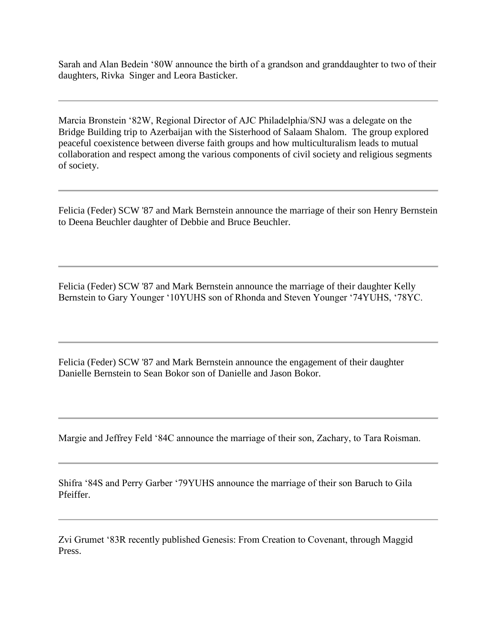Sarah and Alan Bedein '80W announce the birth of a grandson and granddaughter to two of their daughters, Rivka Singer and Leora Basticker.

Marcia Bronstein '82W, Regional Director of AJC Philadelphia/SNJ was a delegate on the Bridge Building trip to Azerbaijan with the Sisterhood of Salaam Shalom. The group explored peaceful coexistence between diverse faith groups and how multiculturalism leads to mutual collaboration and respect among the various components of civil society and religious segments of society.

Felicia (Feder) SCW '87 and Mark Bernstein announce the marriage of their son Henry Bernstein to Deena Beuchler daughter of Debbie and Bruce Beuchler.

Felicia (Feder) SCW '87 and Mark Bernstein announce the marriage of their daughter Kelly Bernstein to Gary Younger '10YUHS son of Rhonda and Steven Younger '74YUHS, '78YC.

Felicia (Feder) SCW '87 and Mark Bernstein announce the engagement of their daughter Danielle Bernstein to Sean Bokor son of Danielle and Jason Bokor.

Margie and Jeffrey Feld '84C announce the marriage of their son, Zachary, to Tara Roisman.

Shifra '84S and Perry Garber '79YUHS announce the marriage of their son Baruch to Gila Pfeiffer.

Zvi Grumet '83R recently published Genesis: From Creation to Covenant, through Maggid Press.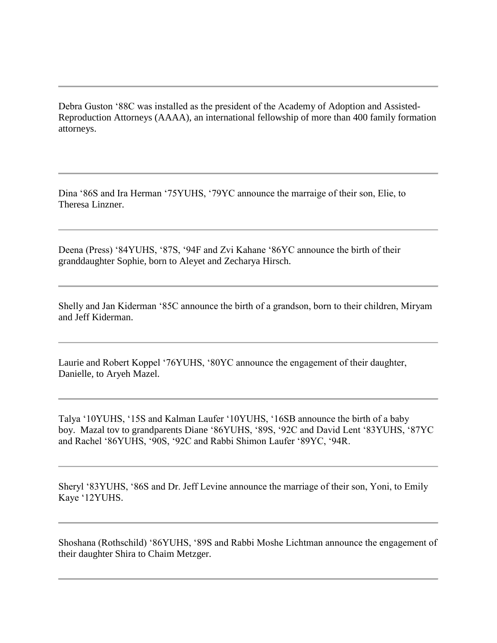Debra Guston '88C was installed as the president of the Academy of Adoption and Assisted-Reproduction Attorneys (AAAA), an international fellowship of more than 400 family formation attorneys.

Dina '86S and Ira Herman '75YUHS, '79YC announce the marraige of their son, Elie, to Theresa Linzner.

Deena (Press) '84YUHS, '87S, '94F and Zvi Kahane '86YC announce the birth of their granddaughter Sophie, born to Aleyet and Zecharya Hirsch.

Shelly and Jan Kiderman '85C announce the birth of a grandson, born to their children, Miryam and Jeff Kiderman.

Laurie and Robert Koppel '76YUHS, '80YC announce the engagement of their daughter, Danielle, to Aryeh Mazel.

Talya '10YUHS, '15S and Kalman Laufer '10YUHS, '16SB announce the birth of a baby boy. Mazal tov to grandparents Diane '86YUHS, '89S, '92C and David Lent '83YUHS, '87YC and Rachel '86YUHS, '90S, '92C and Rabbi Shimon Laufer '89YC, '94R.

Sheryl '83YUHS, '86S and Dr. Jeff Levine announce the marriage of their son, Yoni, to Emily Kaye '12YUHS.

Shoshana (Rothschild) '86YUHS, '89S and Rabbi Moshe Lichtman announce the engagement of their daughter Shira to Chaim Metzger.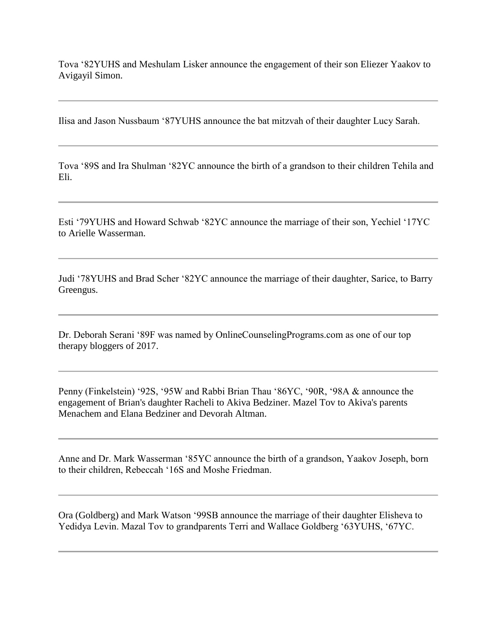Tova '82YUHS and Meshulam Lisker announce the engagement of their son Eliezer Yaakov to Avigayil Simon.

Ilisa and Jason Nussbaum '87YUHS announce the bat mitzvah of their daughter Lucy Sarah.

Tova '89S and Ira Shulman '82YC announce the birth of a grandson to their children Tehila and Eli.

Esti '79YUHS and Howard Schwab '82YC announce the marriage of their son, Yechiel '17YC to Arielle Wasserman.

Judi '78YUHS and Brad Scher '82YC announce the marriage of their daughter, Sarice, to Barry Greengus.

Dr. Deborah Serani '89F was named by OnlineCounselingPrograms.com as one of our top therapy bloggers of 2017.

Penny (Finkelstein) '92S, '95W and Rabbi Brian Thau '86YC, '90R, '98A & announce the engagement of Brian's daughter Racheli to Akiva Bedziner. Mazel Tov to Akiva's parents Menachem and Elana Bedziner and Devorah Altman.

Anne and Dr. Mark Wasserman '85YC announce the birth of a grandson, Yaakov Joseph, born to their children, Rebeccah '16S and Moshe Friedman.

Ora (Goldberg) and Mark Watson '99SB announce the marriage of their daughter Elisheva to Yedidya Levin. Mazal Tov to grandparents Terri and Wallace Goldberg '63YUHS, '67YC.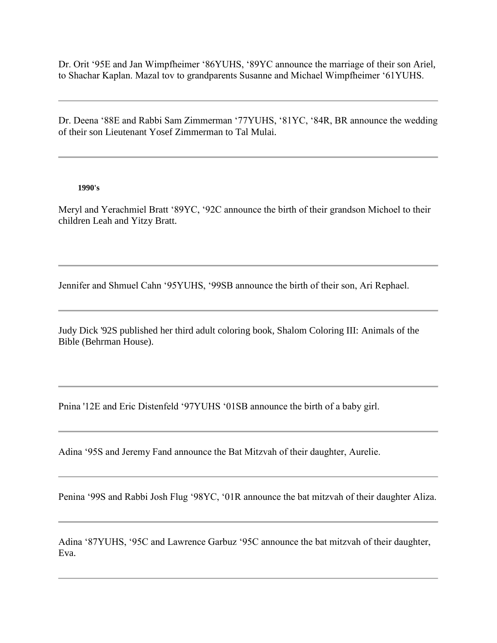Dr. Orit '95E and Jan Wimpfheimer '86YUHS, '89YC announce the marriage of their son Ariel, to Shachar Kaplan. Mazal tov to grandparents Susanne and Michael Wimpfheimer '61YUHS.

Dr. Deena '88E and Rabbi Sam Zimmerman '77YUHS, '81YC, '84R, BR announce the wedding of their son Lieutenant Yosef Zimmerman to Tal Mulai.

## **1990's**

Meryl and Yerachmiel Bratt '89YC, '92C announce the birth of their grandson Michoel to their children Leah and Yitzy Bratt.

Jennifer and Shmuel Cahn '95YUHS, '99SB announce the birth of their son, Ari Rephael.

Judy Dick '92S published her third adult coloring book, Shalom Coloring III: Animals of the Bible (Behrman House).

Pnina '12E and Eric Distenfeld '97YUHS '01SB announce the birth of a baby girl.

Adina '95S and Jeremy Fand announce the Bat Mitzvah of their daughter, Aurelie.

Penina '99S and Rabbi Josh Flug '98YC, '01R announce the bat mitzvah of their daughter Aliza.

Adina '87YUHS, '95C and Lawrence Garbuz '95C announce the bat mitzvah of their daughter, Eva.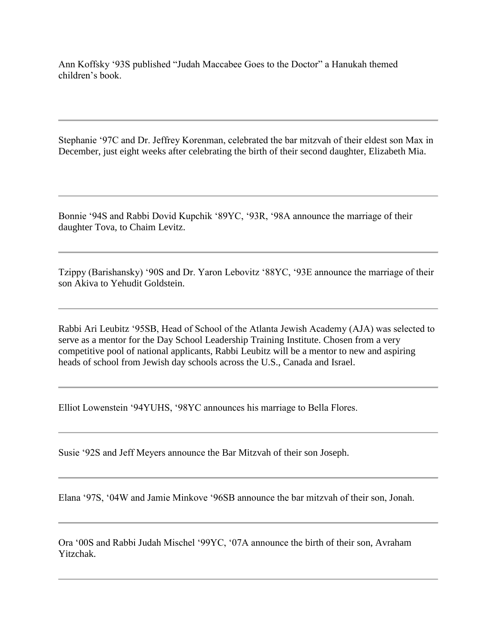Ann Koffsky '93S published "Judah Maccabee Goes to the Doctor" a Hanukah themed children's book.

Stephanie '97C and Dr. Jeffrey Korenman, celebrated the bar mitzvah of their eldest son Max in December, just eight weeks after celebrating the birth of their second daughter, Elizabeth Mia.

Bonnie '94S and Rabbi Dovid Kupchik '89YC, '93R, '98A announce the marriage of their daughter Tova, to Chaim Levitz.

Tzippy (Barishansky) '90S and Dr. Yaron Lebovitz '88YC, '93E announce the marriage of their son Akiva to Yehudit Goldstein.

Rabbi Ari Leubitz '95SB, Head of School of the Atlanta Jewish Academy (AJA) was selected to serve as a mentor for the Day School Leadership Training Institute. Chosen from a very competitive pool of national applicants, Rabbi Leubitz will be a mentor to new and aspiring heads of school from Jewish day schools across the U.S., Canada and Israel.

Elliot Lowenstein '94YUHS, '98YC announces his marriage to Bella Flores.

Susie '92S and Jeff Meyers announce the Bar Mitzvah of their son Joseph.

Elana '97S, '04W and Jamie Minkove '96SB announce the bar mitzvah of their son, Jonah.

Ora '00S and Rabbi Judah Mischel '99YC, '07A announce the birth of their son, Avraham Yitzchak.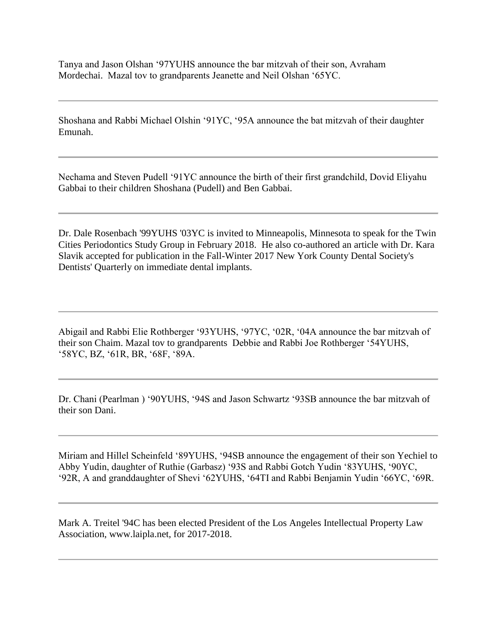Tanya and Jason Olshan '97YUHS announce the bar mitzvah of their son, Avraham Mordechai. Mazal tov to grandparents Jeanette and Neil Olshan '65YC.

Shoshana and Rabbi Michael Olshin '91YC, '95A announce the bat mitzvah of their daughter Emunah.

Nechama and Steven Pudell '91YC announce the birth of their first grandchild, Dovid Eliyahu Gabbai to their children Shoshana (Pudell) and Ben Gabbai.

Dr. Dale Rosenbach '99YUHS '03YC is invited to Minneapolis, Minnesota to speak for the Twin Cities Periodontics Study Group in February 2018. He also co-authored an article with Dr. Kara Slavik accepted for publication in the Fall-Winter 2017 New York County Dental Society's Dentists' Quarterly on immediate dental implants.

Abigail and Rabbi Elie Rothberger '93YUHS, '97YC, '02R, '04A announce the bar mitzvah of their son Chaim. Mazal tov to grandparents Debbie and Rabbi Joe Rothberger '54YUHS, '58YC, BZ, '61R, BR, '68F, '89A.

Dr. Chani (Pearlman ) '90YUHS, '94S and Jason Schwartz '93SB announce the bar mitzvah of their son Dani.

Miriam and Hillel Scheinfeld '89YUHS, '94SB announce the engagement of their son Yechiel to Abby Yudin, daughter of Ruthie (Garbasz) '93S and Rabbi Gotch Yudin '83YUHS, '90YC, '92R, A and granddaughter of Shevi '62YUHS, '64TI and Rabbi Benjamin Yudin '66YC, '69R.

Mark A. Treitel '94C has been elected President of the Los Angeles Intellectual Property Law Association, www.laipla.net, for 2017-2018.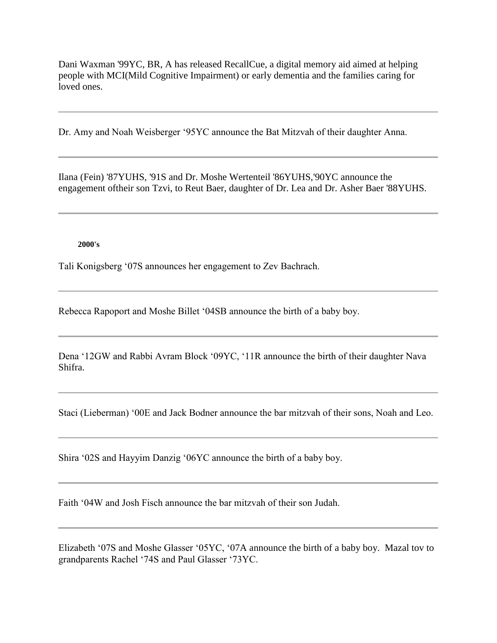Dani Waxman '99YC, BR, A has released RecallCue, a digital memory aid aimed at helping people with MCI(Mild Cognitive Impairment) or early dementia and the families caring for loved ones.

Dr. Amy and Noah Weisberger '95YC announce the Bat Mitzvah of their daughter Anna.

Ilana (Fein) '87YUHS, '91S and Dr. Moshe Wertenteil '86YUHS,'90YC announce the engagement oftheir son Tzvi, to Reut Baer, daughter of Dr. Lea and Dr. Asher Baer '88YUHS.

## **2000's**

Tali Konigsberg '07S announces her engagement to Zev Bachrach.

Rebecca Rapoport and Moshe Billet '04SB announce the birth of a baby boy.

Dena '12GW and Rabbi Avram Block '09YC, '11R announce the birth of their daughter Nava Shifra.

Staci (Lieberman) '00E and Jack Bodner announce the bar mitzvah of their sons, Noah and Leo.

Shira '02S and Hayyim Danzig '06YC announce the birth of a baby boy.

Faith '04W and Josh Fisch announce the bar mitzvah of their son Judah.

Elizabeth '07S and Moshe Glasser '05YC, '07A announce the birth of a baby boy. Mazal tov to grandparents Rachel '74S and Paul Glasser '73YC.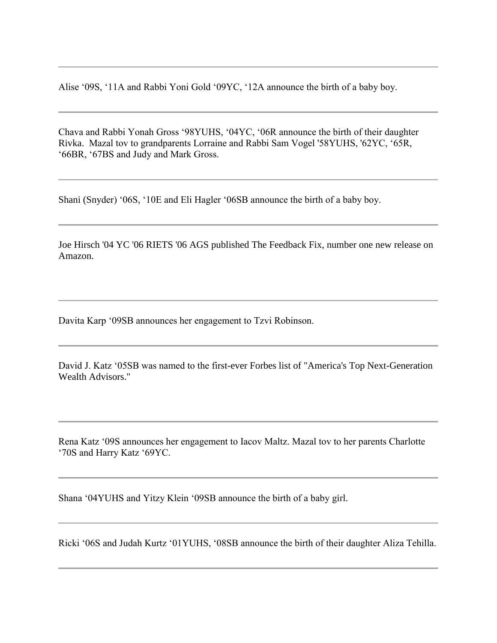Alise '09S, '11A and Rabbi Yoni Gold '09YC, '12A announce the birth of a baby boy.

Chava and Rabbi Yonah Gross '98YUHS, '04YC, '06R announce the birth of their daughter Rivka. Mazal tov to grandparents Lorraine and Rabbi Sam Vogel '58YUHS, '62YC, '65R, '66BR, '67BS and Judy and Mark Gross.

Shani (Snyder) '06S, '10E and Eli Hagler '06SB announce the birth of a baby boy.

Joe Hirsch '04 YC '06 RIETS '06 AGS published The Feedback Fix, number one new release on Amazon.

Davita Karp '09SB announces her engagement to Tzvi Robinson.

David J. Katz '05SB was named to the first-ever Forbes list of "America's Top Next-Generation Wealth Advisors."

Rena Katz '09S announces her engagement to Iacov Maltz. Mazal tov to her parents Charlotte '70S and Harry Katz '69YC.

Shana '04YUHS and Yitzy Klein '09SB announce the birth of a baby girl.

Ricki '06S and Judah Kurtz '01YUHS, '08SB announce the birth of their daughter Aliza Tehilla.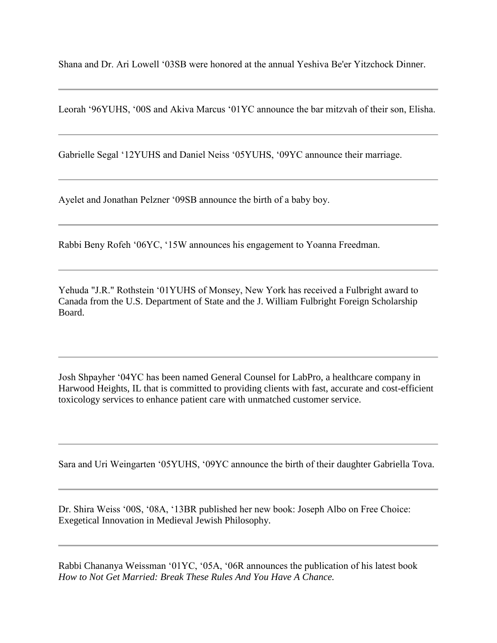Shana and Dr. Ari Lowell '03SB were honored at the annual Yeshiva Be'er Yitzchock Dinner.

Leorah '96YUHS, '00S and Akiva Marcus '01YC announce the bar mitzvah of their son, Elisha.

Gabrielle Segal '12YUHS and Daniel Neiss '05YUHS, '09YC announce their marriage.

Ayelet and Jonathan Pelzner '09SB announce the birth of a baby boy.

Rabbi Beny Rofeh '06YC, '15W announces his engagement to Yoanna Freedman.

Yehuda "J.R." Rothstein '01YUHS of Monsey, New York has received a Fulbright award to Canada from the U.S. Department of State and the J. William Fulbright Foreign Scholarship Board.

Josh Shpayher '04YC has been named General Counsel for LabPro, a healthcare company in Harwood Heights, IL that is committed to providing clients with fast, accurate and cost-efficient toxicology services to enhance patient care with unmatched customer service.

Sara and Uri Weingarten '05YUHS, '09YC announce the birth of their daughter Gabriella Tova.

Dr. Shira Weiss '00S, '08A, '13BR published her new book: Joseph Albo on Free Choice: Exegetical Innovation in Medieval Jewish Philosophy.

Rabbi Chananya Weissman '01YC, '05A, '06R announces the publication of his latest book *How to Not Get Married: Break These Rules And You Have A Chance.*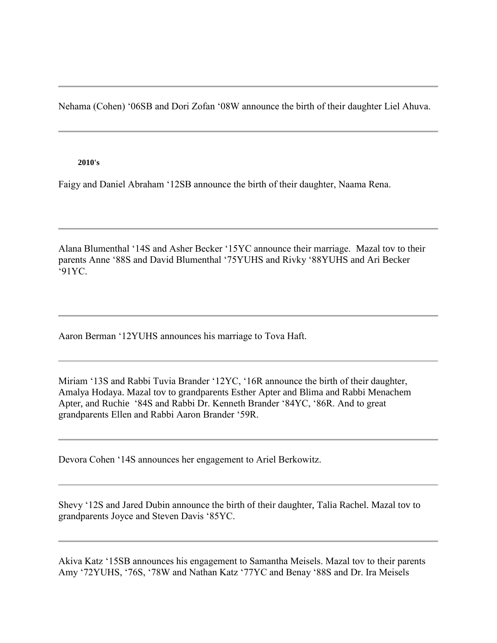Nehama (Cohen) '06SB and Dori Zofan '08W announce the birth of their daughter Liel Ahuva.

## **2010's**

Faigy and Daniel Abraham '12SB announce the birth of their daughter, Naama Rena.

Alana Blumenthal '14S and Asher Becker '15YC announce their marriage. Mazal tov to their parents Anne '88S and David Blumenthal '75YUHS and Rivky '88YUHS and Ari Becker '91YC.

Aaron Berman '12YUHS announces his marriage to Tova Haft.

Miriam '13S and Rabbi Tuvia Brander '12YC, '16R announce the birth of their daughter, Amalya Hodaya. Mazal tov to grandparents Esther Apter and Blima and Rabbi Menachem Apter, and Ruchie '84S and Rabbi Dr. Kenneth Brander '84YC, '86R. And to great grandparents Ellen and Rabbi Aaron Brander '59R.

Devora Cohen '14S announces her engagement to Ariel Berkowitz.

Shevy '12S and Jared Dubin announce the birth of their daughter, Talia Rachel. Mazal tov to grandparents Joyce and Steven Davis '85YC.

Akiva Katz '15SB announces his engagement to Samantha Meisels. Mazal tov to their parents Amy '72YUHS, '76S, '78W and Nathan Katz '77YC and Benay '88S and Dr. Ira Meisels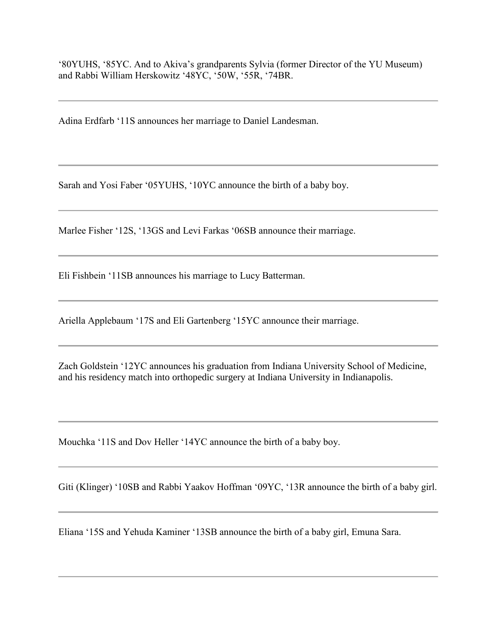'80YUHS, '85YC. And to Akiva's grandparents Sylvia (former Director of the YU Museum) and Rabbi William Herskowitz '48YC, '50W, '55R, '74BR.

Adina Erdfarb '11S announces her marriage to Daniel Landesman.

Sarah and Yosi Faber '05YUHS, '10YC announce the birth of a baby boy.

Marlee Fisher '12S, '13GS and Levi Farkas '06SB announce their marriage.

Eli Fishbein '11SB announces his marriage to Lucy Batterman.

Ariella Applebaum '17S and Eli Gartenberg '15YC announce their marriage.

Zach Goldstein '12YC announces his graduation from Indiana University School of Medicine, and his residency match into orthopedic surgery at Indiana University in Indianapolis.

Mouchka '11S and Dov Heller '14YC announce the birth of a baby boy.

Giti (Klinger) '10SB and Rabbi Yaakov Hoffman '09YC, '13R announce the birth of a baby girl.

Eliana '15S and Yehuda Kaminer '13SB announce the birth of a baby girl, Emuna Sara.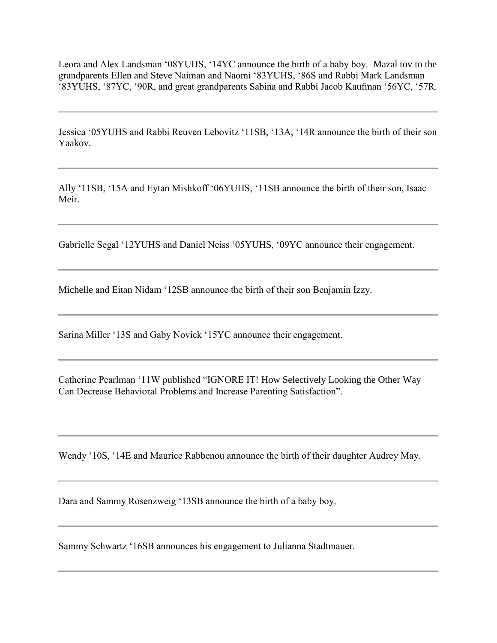Leora and Alex Landsman '08YUHS, '14YC announce the birth of a baby boy. Mazal tov to the grandparents Ellen and Steve Naiman and Naomi '83YUHS, '86S and Rabbi Mark Landsman '83YUHS, '87YC, '90R, and great grandparents Sabina and Rabbi Jacob Kaufman '56YC, '57R.

Jessica '05YUHS and Rabbi Reuven Lebovitz '11SB, '13A, '14R announce the birth of their son Yaakov.

Ally '11SB, '15A and Eytan Mishkoff '06YUHS, '11SB announce the birth of their son, Isaac Meir.

Gabrielle Segal '12YUHS and Daniel Neiss '05YUHS, '09YC announce their engagement.

Michelle and Eitan Nidam '12SB announce the birth of their son Benjamin Izzy.

Sarina Miller '13S and Gaby Novick '15YC announce their engagement.

Catherine Pearlman '11W published "IGNORE IT! How Selectively Looking the Other Way Can Decrease Behavioral Problems and Increase Parenting Satisfaction".

Wendy '10S, '14E and Maurice Rabbenou announce the birth of their daughter Audrey May.

Dara and Sammy Rosenzweig '13SB announce the birth of a baby boy.

Sammy Schwartz '16SB announces his engagement to Julianna Stadtmauer.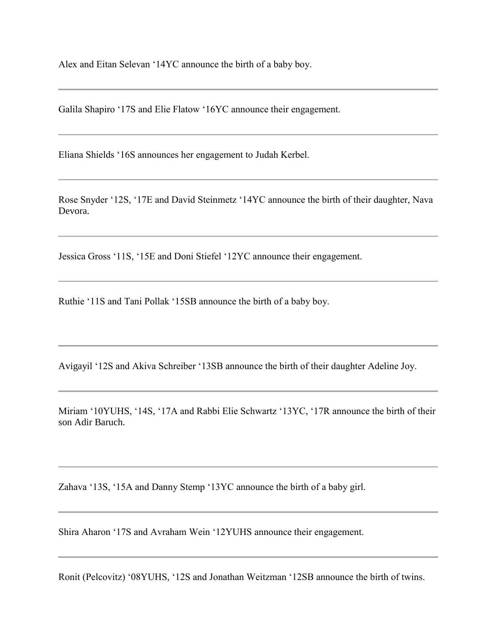Alex and Eitan Selevan '14YC announce the birth of a baby boy.

Galila Shapiro '17S and Elie Flatow '16YC announce their engagement.

Eliana Shields '16S announces her engagement to Judah Kerbel.

Rose Snyder '12S, '17E and David Steinmetz '14YC announce the birth of their daughter, Nava Devora.

Jessica Gross '11S, '15E and Doni Stiefel '12YC announce their engagement.

Ruthie '11S and Tani Pollak '15SB announce the birth of a baby boy.

Avigayil '12S and Akiva Schreiber '13SB announce the birth of their daughter Adeline Joy.

Miriam '10YUHS, '14S, '17A and Rabbi Elie Schwartz '13YC, '17R announce the birth of their son Adir Baruch.

Zahava '13S, '15A and Danny Stemp '13YC announce the birth of a baby girl.

Shira Aharon '17S and Avraham Wein '12YUHS announce their engagement.

Ronit (Pelcovitz) '08YUHS, '12S and Jonathan Weitzman '12SB announce the birth of twins.